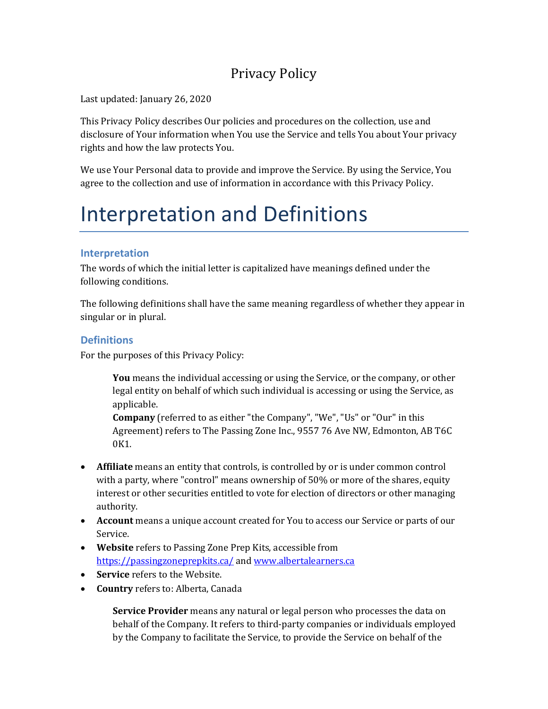## Privacy Policy

Last updated: January 26, 2020

This Privacy Policy describes Our policies and procedures on the collection, use and disclosure of Your information when You use the Service and tells You about Your privacy rights and how the law protects You.

We use Your Personal data to provide and improve the Service. By using the Service, You agree to the collection and use of information in accordance with this Privacy Policy.

# Interpretation and Definitions

### **Interpretation**

The words of which the initial letter is capitalized have meanings defined under the following conditions.

The following definitions shall have the same meaning regardless of whether they appear in singular or in plural.

### **Definitions**

For the purposes of this Privacy Policy:

**You** means the individual accessing or using the Service, or the company, or other legal entity on behalf of which such individual is accessing or using the Service, as applicable.

**Company** (referred to as either "the Company", "We", "Us" or "Our" in this Agreement) refers to The Passing Zone Inc., 9557 76 Ave NW, Edmonton, AB T6C 0K1.

- **Affiliate** means an entity that controls, is controlled by or is under common control with a party, where "control" means ownership of 50% or more of the shares, equity interest or other securities entitled to vote for election of directors or other managing authority.
- **Account** means a unique account created for You to access our Service or parts of our Service.
- **Website** refers to Passing Zone Prep Kits, accessible from <https://passingzoneprepkits.ca/> an[d www.albertalearners.ca](http://www.albertalearners.ca/)
- **Service** refers to the Website.
- **Country** refers to: Alberta, Canada

**Service Provider** means any natural or legal person who processes the data on behalf of the Company. It refers to third-party companies or individuals employed by the Company to facilitate the Service, to provide the Service on behalf of the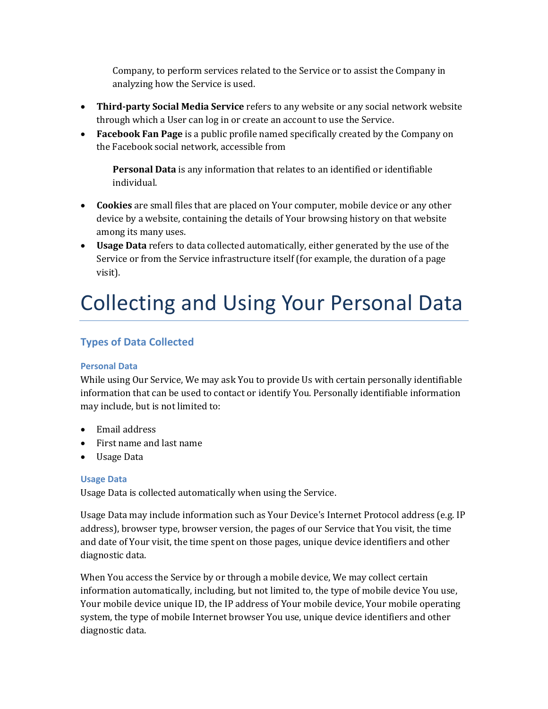Company, to perform services related to the Service or to assist the Company in analyzing how the Service is used.

- **Third-party Social Media Service** refers to any website or any social network website through which a User can log in or create an account to use the Service.
- **Facebook Fan Page** is a public profile named specifically created by the Company on the Facebook social network, accessible from

**Personal Data** is any information that relates to an identified or identifiable individual.

- **Cookies** are small files that are placed on Your computer, mobile device or any other device by a website, containing the details of Your browsing history on that website among its many uses.
- **Usage Data** refers to data collected automatically, either generated by the use of the Service or from the Service infrastructure itself (for example, the duration of a page visit).

# Collecting and Using Your Personal Data

### **Types of Data Collected**

### **Personal Data**

While using Our Service, We may ask You to provide Us with certain personally identifiable information that can be used to contact or identify You. Personally identifiable information may include, but is not limited to:

- Email address
- First name and last name
- Usage Data

### **Usage Data**

Usage Data is collected automatically when using the Service.

Usage Data may include information such as Your Device's Internet Protocol address (e.g. IP address), browser type, browser version, the pages of our Service that You visit, the time and date of Your visit, the time spent on those pages, unique device identifiers and other diagnostic data.

When You access the Service by or through a mobile device, We may collect certain information automatically, including, but not limited to, the type of mobile device You use, Your mobile device unique ID, the IP address of Your mobile device, Your mobile operating system, the type of mobile Internet browser You use, unique device identifiers and other diagnostic data.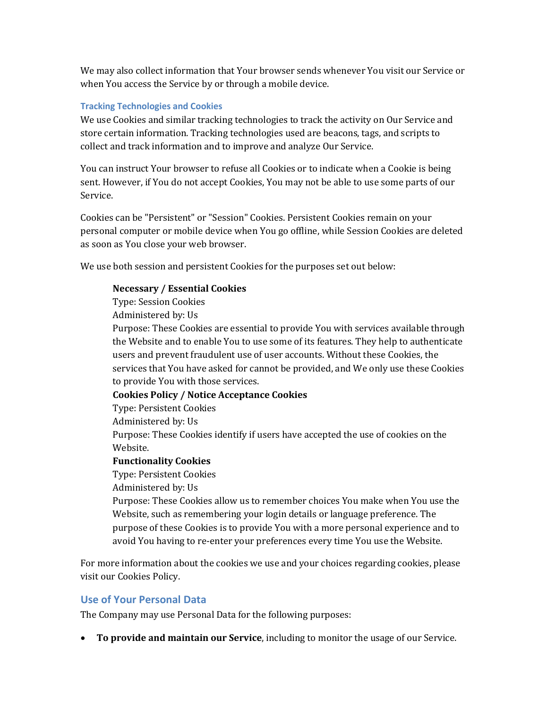We may also collect information that Your browser sends whenever You visit our Service or when You access the Service by or through a mobile device.

#### **Tracking Technologies and Cookies**

We use Cookies and similar tracking technologies to track the activity on Our Service and store certain information. Tracking technologies used are beacons, tags, and scripts to collect and track information and to improve and analyze Our Service.

You can instruct Your browser to refuse all Cookies or to indicate when a Cookie is being sent. However, if You do not accept Cookies, You may not be able to use some parts of our Service.

Cookies can be "Persistent" or "Session" Cookies. Persistent Cookies remain on your personal computer or mobile device when You go offline, while Session Cookies are deleted as soon as You close your web browser.

We use both session and persistent Cookies for the purposes set out below:

#### **Necessary / Essential Cookies**

Type: Session Cookies

Administered by: Us

Purpose: These Cookies are essential to provide You with services available through the Website and to enable You to use some of its features. They help to authenticate users and prevent fraudulent use of user accounts. Without these Cookies, the services that You have asked for cannot be provided, and We only use these Cookies to provide You with those services.

#### **Cookies Policy / Notice Acceptance Cookies**

Type: Persistent Cookies

Administered by: Us

Purpose: These Cookies identify if users have accepted the use of cookies on the Website.

#### **Functionality Cookies**

Type: Persistent Cookies

Administered by: Us

Purpose: These Cookies allow us to remember choices You make when You use the Website, such as remembering your login details or language preference. The purpose of these Cookies is to provide You with a more personal experience and to avoid You having to re-enter your preferences every time You use the Website.

For more information about the cookies we use and your choices regarding cookies, please visit our Cookies Policy.

### **Use of Your Personal Data**

The Company may use Personal Data for the following purposes:

• **To provide and maintain our Service**, including to monitor the usage of our Service.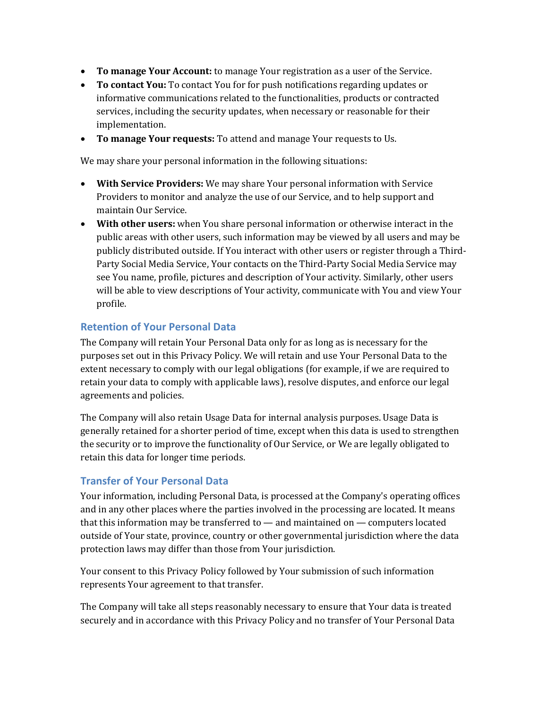- **To manage Your Account:** to manage Your registration as a user of the Service.
- **To contact You:** To contact You for for push notifications regarding updates or informative communications related to the functionalities, products or contracted services, including the security updates, when necessary or reasonable for their implementation.
- **To manage Your requests:** To attend and manage Your requests to Us.

We may share your personal information in the following situations:

- **With Service Providers:** We may share Your personal information with Service Providers to monitor and analyze the use of our Service, and to help support and maintain Our Service.
- **With other users:** when You share personal information or otherwise interact in the public areas with other users, such information may be viewed by all users and may be publicly distributed outside. If You interact with other users or register through a Third-Party Social Media Service, Your contacts on the Third-Party Social Media Service may see You name, profile, pictures and description of Your activity. Similarly, other users will be able to view descriptions of Your activity, communicate with You and view Your profile.

### **Retention of Your Personal Data**

The Company will retain Your Personal Data only for as long as is necessary for the purposes set out in this Privacy Policy. We will retain and use Your Personal Data to the extent necessary to comply with our legal obligations (for example, if we are required to retain your data to comply with applicable laws), resolve disputes, and enforce our legal agreements and policies.

The Company will also retain Usage Data for internal analysis purposes. Usage Data is generally retained for a shorter period of time, except when this data is used to strengthen the security or to improve the functionality of Our Service, or We are legally obligated to retain this data for longer time periods.

### **Transfer of Your Personal Data**

Your information, including Personal Data, is processed at the Company's operating offices and in any other places where the parties involved in the processing are located. It means that this information may be transferred to — and maintained on — computers located outside of Your state, province, country or other governmental jurisdiction where the data protection laws may differ than those from Your jurisdiction.

Your consent to this Privacy Policy followed by Your submission of such information represents Your agreement to that transfer.

The Company will take all steps reasonably necessary to ensure that Your data is treated securely and in accordance with this Privacy Policy and no transfer of Your Personal Data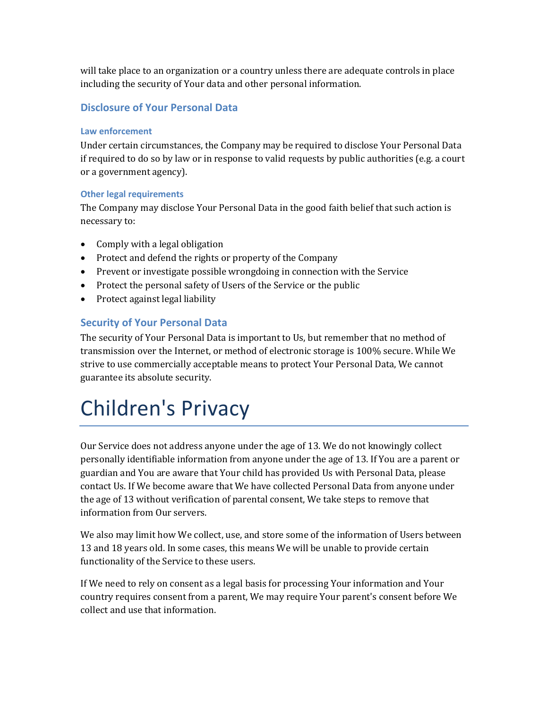will take place to an organization or a country unless there are adequate controls in place including the security of Your data and other personal information.

### **Disclosure of Your Personal Data**

#### **Law enforcement**

Under certain circumstances, the Company may be required to disclose Your Personal Data if required to do so by law or in response to valid requests by public authorities (e.g. a court or a government agency).

#### **Other legal requirements**

The Company may disclose Your Personal Data in the good faith belief that such action is necessary to:

- Comply with a legal obligation
- Protect and defend the rights or property of the Company
- Prevent or investigate possible wrongdoing in connection with the Service
- Protect the personal safety of Users of the Service or the public
- Protect against legal liability

### **Security of Your Personal Data**

The security of Your Personal Data is important to Us, but remember that no method of transmission over the Internet, or method of electronic storage is 100% secure. While We strive to use commercially acceptable means to protect Your Personal Data, We cannot guarantee its absolute security.

# Children's Privacy

Our Service does not address anyone under the age of 13. We do not knowingly collect personally identifiable information from anyone under the age of 13. If You are a parent or guardian and You are aware that Your child has provided Us with Personal Data, please contact Us. If We become aware that We have collected Personal Data from anyone under the age of 13 without verification of parental consent, We take steps to remove that information from Our servers.

We also may limit how We collect, use, and store some of the information of Users between 13 and 18 years old. In some cases, this means We will be unable to provide certain functionality of the Service to these users.

If We need to rely on consent as a legal basis for processing Your information and Your country requires consent from a parent, We may require Your parent's consent before We collect and use that information.